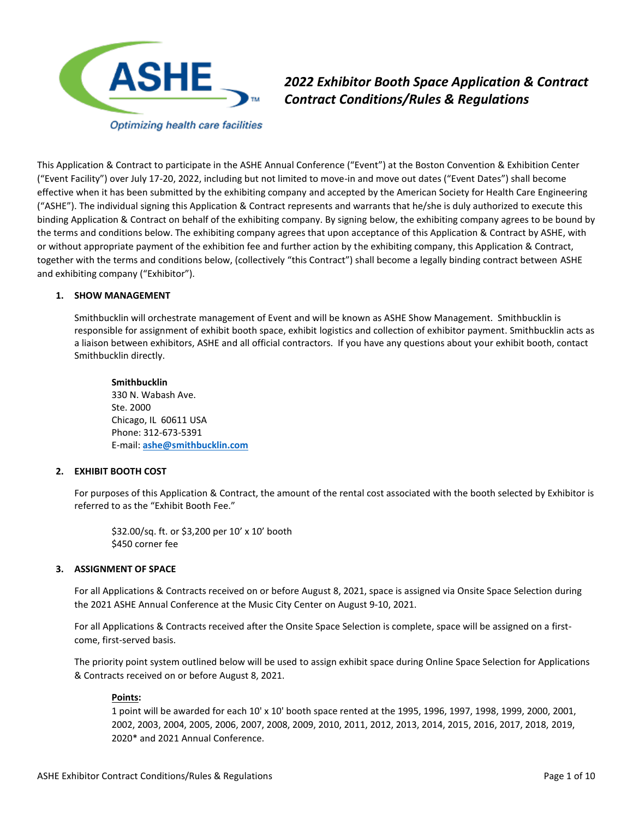

*2022 Exhibitor Booth Space Application & Contract Contract Conditions/Rules & Regulations*

This Application & Contract to participate in the ASHE Annual Conference ("Event") at the Boston Convention & Exhibition Center ("Event Facility") over July 17-20, 2022, including but not limited to move-in and move out dates ("Event Dates") shall become effective when it has been submitted by the exhibiting company and accepted by the American Society for Health Care Engineering ("ASHE"). The individual signing this Application & Contract represents and warrants that he/she is duly authorized to execute this binding Application & Contract on behalf of the exhibiting company. By signing below, the exhibiting company agrees to be bound by the terms and conditions below. The exhibiting company agrees that upon acceptance of this Application & Contract by ASHE, with or without appropriate payment of the exhibition fee and further action by the exhibiting company, this Application & Contract, together with the terms and conditions below, (collectively "this Contract") shall become a legally binding contract between ASHE and exhibiting company ("Exhibitor").

#### **1. SHOW MANAGEMENT**

Smithbucklin will orchestrate management of Event and will be known as ASHE Show Management. Smithbucklin is responsible for assignment of exhibit booth space, exhibit logistics and collection of exhibitor payment. Smithbucklin acts as a liaison between exhibitors, ASHE and all official contractors. If you have any questions about your exhibit booth, contact Smithbucklin directly.

**Smithbucklin** 330 N. Wabash Ave. Ste. 2000 Chicago, IL 60611 USA Phone: 312-673-5391 E-mail: **[ashe@smithbucklin.com](mailto:ashe@smithbucklin.com)**

#### **2. EXHIBIT BOOTH COST**

For purposes of this Application & Contract, the amount of the rental cost associated with the booth selected by Exhibitor is referred to as the "Exhibit Booth Fee."

\$32.00/sq. ft. or \$3,200 per 10' x 10' booth \$450 corner fee

### **3. ASSIGNMENT OF SPACE**

For all Applications & Contracts received on or before August 8, 2021, space is assigned via Onsite Space Selection during the 2021 ASHE Annual Conference at the Music City Center on August 9-10, 2021.

For all Applications & Contracts received after the Onsite Space Selection is complete, space will be assigned on a firstcome, first-served basis.

The priority point system outlined below will be used to assign exhibit space during Online Space Selection for Applications & Contracts received on or before August 8, 2021.

#### **[Points:](file://///bchi32.corp.smithbucklin.com/PDC2000/eppoints.html)**

1 point will be awarded for each 10' x 10' booth space rented at the 1995, 1996, 1997, 1998, 1999, 2000, 2001, 2002, 2003, 2004, 2005, 2006, 2007, 2008, 2009, 2010, 2011, 2012, 2013, 2014, 2015, 2016, 2017, 2018, 2019, 2020\* and 2021 Annual Conference.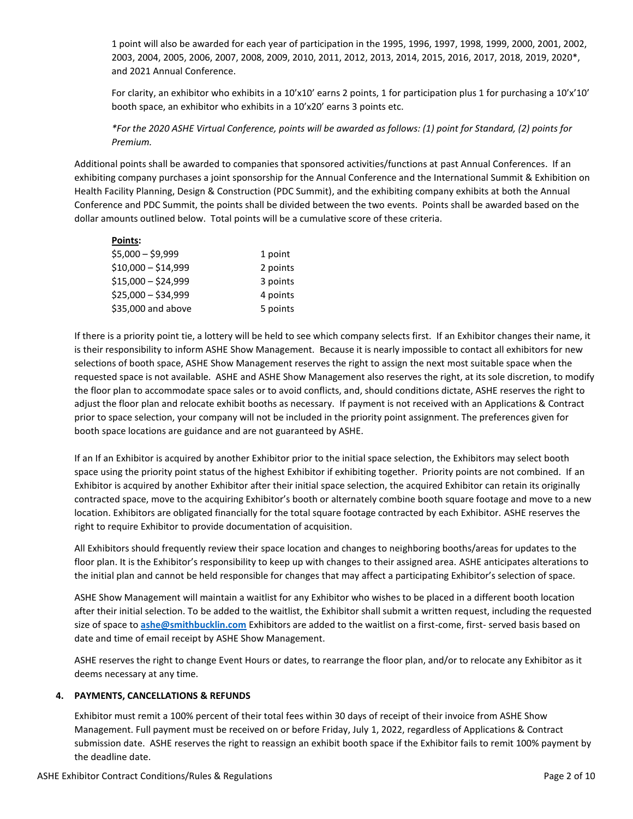1 point will also be awarded for each year of participation in the 1995, 1996, 1997, 1998, 1999, 2000, 2001, 2002, 2003, 2004, 2005, 2006, 2007, 2008, 2009, 2010, 2011, 2012, 2013, 2014, 2015, 2016, 2017, 2018, 2019, 2020\*, and 2021 Annual Conference.

For clarity, an exhibitor who exhibits in a 10'x10' earns 2 points, 1 for participation plus 1 for purchasing a 10'x'10' booth space, an exhibitor who exhibits in a 10'x20' earns 3 points etc.

*\*For the 2020 ASHE Virtual Conference, points will be awarded as follows: (1) point for Standard, (2) points for Premium.*

Additional points shall be awarded to companies that sponsored activities/functions at past Annual Conferences. If an exhibiting company purchases a joint sponsorship for the Annual Conference and the International Summit & Exhibition on Health Facility Planning, Design & Construction (PDC Summit), and the exhibiting company exhibits at both the Annual Conference and PDC Summit, the points shall be divided between the two events. Points shall be awarded based on the dollar amounts outlined below. Total points will be a cumulative score of these criteria.

| Points:             |          |
|---------------------|----------|
| \$5,000 - \$9,999   | 1 point  |
| \$10,000 - \$14,999 | 2 points |
| \$15,000 - \$24,999 | 3 points |
| \$25,000 - \$34,999 | 4 points |
| \$35,000 and above  | 5 points |

If there is a priority point tie, a lottery will be held to see which company selects first. If an Exhibitor changes their name, it is their responsibility to inform ASHE Show Management. Because it is nearly impossible to contact all exhibitors for new selections of booth space, ASHE Show Management reserves the right to assign the next most suitable space when the requested space is not available. ASHE and ASHE Show Management also reserves the right, at its sole discretion, to modify the floor plan to accommodate space sales or to avoid conflicts, and, should conditions dictate, ASHE reserves the right to adjust the floor plan and relocate exhibit booths as necessary. If payment is not received with an Applications & Contract prior to space selection, your company will not be included in the priority point assignment. The preferences given for booth space locations are guidance and are not guaranteed by ASHE.

If an If an Exhibitor is acquired by another Exhibitor prior to the initial space selection, the Exhibitors may select booth space using the priority point status of the highest Exhibitor if exhibiting together. Priority points are not combined. If an Exhibitor is acquired by another Exhibitor after their initial space selection, the acquired Exhibitor can retain its originally contracted space, move to the acquiring Exhibitor's booth or alternately combine booth square footage and move to a new location. Exhibitors are obligated financially for the total square footage contracted by each Exhibitor. ASHE reserves the right to require Exhibitor to provide documentation of acquisition.

All Exhibitors should frequently review their space location and changes to neighboring booths/areas for updates to the floor plan. It is the Exhibitor's responsibility to keep up with changes to their assigned area. ASHE anticipates alterations to the initial plan and cannot be held responsible for changes that may affect a participating Exhibitor's selection of space.

ASHE Show Management will maintain a waitlist for any Exhibitor who wishes to be placed in a different booth location after their initial selection. To be added to the waitlist, the Exhibitor shall submit a written request, including the requested size of space to **[ashe@smithbucklin.com](mailto:ashe@smithbucklin.com)** Exhibitors are added to the waitlist on a first-come, first- served basis based on date and time of email receipt by ASHE Show Management.

ASHE reserves the right to change Event Hours or dates, to rearrange the floor plan, and/or to relocate any Exhibitor as it deems necessary at any time.

# **4. PAYMENTS, CANCELLATIONS & REFUNDS**

Exhibitor must remit a 100% percent of their total fees within 30 days of receipt of their invoice from ASHE Show Management. Full payment must be received on or before Friday, July 1, 2022, regardless of Applications & Contract submission date. ASHE reserves the right to reassign an exhibit booth space if the Exhibitor fails to remit 100% payment by the deadline date.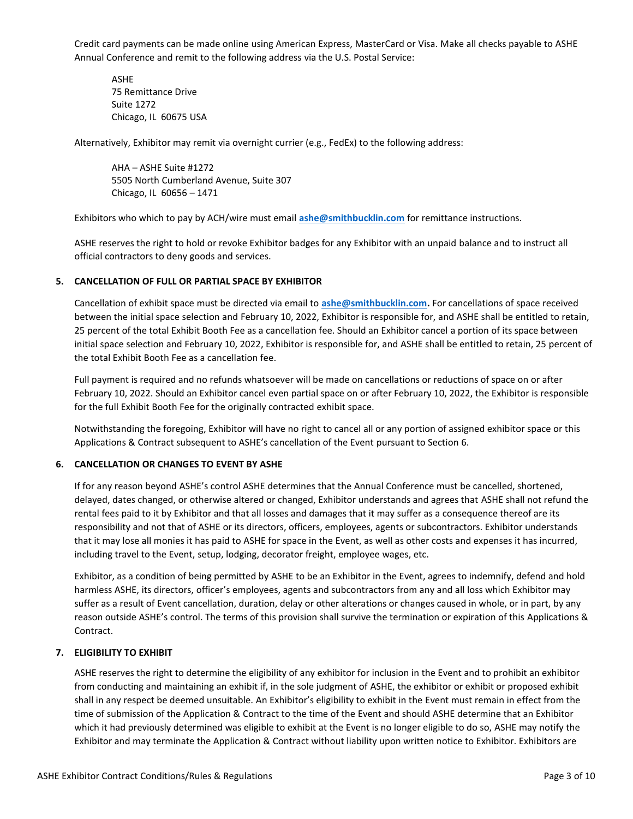Credit card payments can be made online using American Express, MasterCard or Visa. Make all checks payable to ASHE Annual Conference and remit to the following address via the U.S. Postal Service:

ASHE 75 Remittance Drive Suite 1272 Chicago, IL 60675 USA

Alternatively, Exhibitor may remit via overnight currier (e.g., FedEx) to the following address:

AHA – ASHE Suite #1272 5505 North Cumberland Avenue, Suite 307 Chicago, IL 60656 – 1471

Exhibitors who which to pay by ACH/wire must email **[ashe@smithbucklin.com](mailto:ashe@smithbucklin.com)** for remittance instructions.

ASHE reserves the right to hold or revoke Exhibitor badges for any Exhibitor with an unpaid balance and to instruct all official contractors to deny goods and services.

### **5. CANCELLATION OF FULL OR PARTIAL SPACE BY EXHIBITOR**

Cancellation of exhibit space must be directed via email to **[ashe@smithbucklin.com.](mailto:ashe@smithbucklin.com)** For cancellations of space received between the initial space selection and February 10, 2022, Exhibitor is responsible for, and ASHE shall be entitled to retain, 25 percent of the total Exhibit Booth Fee as a cancellation fee. Should an Exhibitor cancel a portion of its space between initial space selection and February 10, 2022, Exhibitor is responsible for, and ASHE shall be entitled to retain, 25 percent of the total Exhibit Booth Fee as a cancellation fee.

Full payment is required and no refunds whatsoever will be made on cancellations or reductions of space on or after February 10, 2022. Should an Exhibitor cancel even partial space on or after February 10, 2022, the Exhibitor is responsible for the full Exhibit Booth Fee for the originally contracted exhibit space.

Notwithstanding the foregoing, Exhibitor will have no right to cancel all or any portion of assigned exhibitor space or this Applications & Contract subsequent to ASHE's cancellation of the Event pursuant to Section 6.

#### **6. CANCELLATION OR CHANGES TO EVENT BY ASHE**

If for any reason beyond ASHE's control ASHE determines that the Annual Conference must be cancelled, shortened, delayed, dates changed, or otherwise altered or changed, Exhibitor understands and agrees that ASHE shall not refund the rental fees paid to it by Exhibitor and that all losses and damages that it may suffer as a consequence thereof are its responsibility and not that of ASHE or its directors, officers, employees, agents or subcontractors. Exhibitor understands that it may lose all monies it has paid to ASHE for space in the Event, as well as other costs and expenses it has incurred, including travel to the Event, setup, lodging, decorator freight, employee wages, etc.

Exhibitor, as a condition of being permitted by ASHE to be an Exhibitor in the Event, agrees to indemnify, defend and hold harmless ASHE, its directors, officer's employees, agents and subcontractors from any and all loss which Exhibitor may suffer as a result of Event cancellation, duration, delay or other alterations or changes caused in whole, or in part, by any reason outside ASHE's control. The terms of this provision shall survive the termination or expiration of this Applications & Contract.

# **7. ELIGIBILITY TO EXHIBIT**

ASHE reserves the right to determine the eligibility of any exhibitor for inclusion in the Event and to prohibit an exhibitor from conducting and maintaining an exhibit if, in the sole judgment of ASHE, the exhibitor or exhibit or proposed exhibit shall in any respect be deemed unsuitable. An Exhibitor's eligibility to exhibit in the Event must remain in effect from the time of submission of the Application & Contract to the time of the Event and should ASHE determine that an Exhibitor which it had previously determined was eligible to exhibit at the Event is no longer eligible to do so, ASHE may notify the Exhibitor and may terminate the Application & Contract without liability upon written notice to Exhibitor. Exhibitors are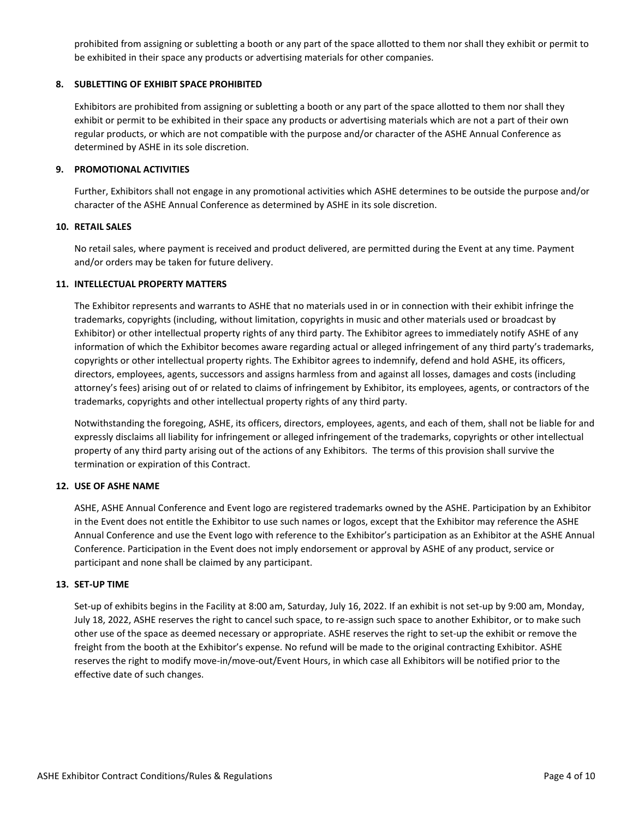prohibited from assigning or subletting a booth or any part of the space allotted to them nor shall they exhibit or permit to be exhibited in their space any products or advertising materials for other companies.

### **8. SUBLETTING OF EXHIBIT SPACE PROHIBITED**

Exhibitors are prohibited from assigning or subletting a booth or any part of the space allotted to them nor shall they exhibit or permit to be exhibited in their space any products or advertising materials which are not a part of their own regular products, or which are not compatible with the purpose and/or character of the ASHE Annual Conference as determined by ASHE in its sole discretion.

#### **9. PROMOTIONAL ACTIVITIES**

Further, Exhibitors shall not engage in any promotional activities which ASHE determines to be outside the purpose and/or character of the ASHE Annual Conference as determined by ASHE in its sole discretion.

### **10. RETAIL SALES**

No retail sales, where payment is received and product delivered, are permitted during the Event at any time. Payment and/or orders may be taken for future delivery.

### **11. INTELLECTUAL PROPERTY MATTERS**

The Exhibitor represents and warrants to ASHE that no materials used in or in connection with their exhibit infringe the trademarks, copyrights (including, without limitation, copyrights in music and other materials used or broadcast by Exhibitor) or other intellectual property rights of any third party. The Exhibitor agrees to immediately notify ASHE of any information of which the Exhibitor becomes aware regarding actual or alleged infringement of any third party's trademarks, copyrights or other intellectual property rights. The Exhibitor agrees to indemnify, defend and hold ASHE, its officers, directors, employees, agents, successors and assigns harmless from and against all losses, damages and costs (including attorney's fees) arising out of or related to claims of infringement by Exhibitor, its employees, agents, or contractors of the trademarks, copyrights and other intellectual property rights of any third party.

Notwithstanding the foregoing, ASHE, its officers, directors, employees, agents, and each of them, shall not be liable for and expressly disclaims all liability for infringement or alleged infringement of the trademarks, copyrights or other intellectual property of any third party arising out of the actions of any Exhibitors. The terms of this provision shall survive the termination or expiration of this Contract.

# **12. USE OF ASHE NAME**

ASHE, ASHE Annual Conference and Event logo are registered trademarks owned by the ASHE. Participation by an Exhibitor in the Event does not entitle the Exhibitor to use such names or logos, except that the Exhibitor may reference the ASHE Annual Conference and use the Event logo with reference to the Exhibitor's participation as an Exhibitor at the ASHE Annual Conference. Participation in the Event does not imply endorsement or approval by ASHE of any product, service or participant and none shall be claimed by any participant.

#### **13. SET-UP TIME**

Set-up of exhibits begins in the Facility at 8:00 am, Saturday, July 16, 2022. If an exhibit is not set-up by 9:00 am, Monday, July 18, 2022, ASHE reserves the right to cancel such space, to re-assign such space to another Exhibitor, or to make such other use of the space as deemed necessary or appropriate. ASHE reserves the right to set-up the exhibit or remove the freight from the booth at the Exhibitor's expense. No refund will be made to the original contracting Exhibitor. ASHE reserves the right to modify move-in/move-out/Event Hours, in which case all Exhibitors will be notified prior to the effective date of such changes.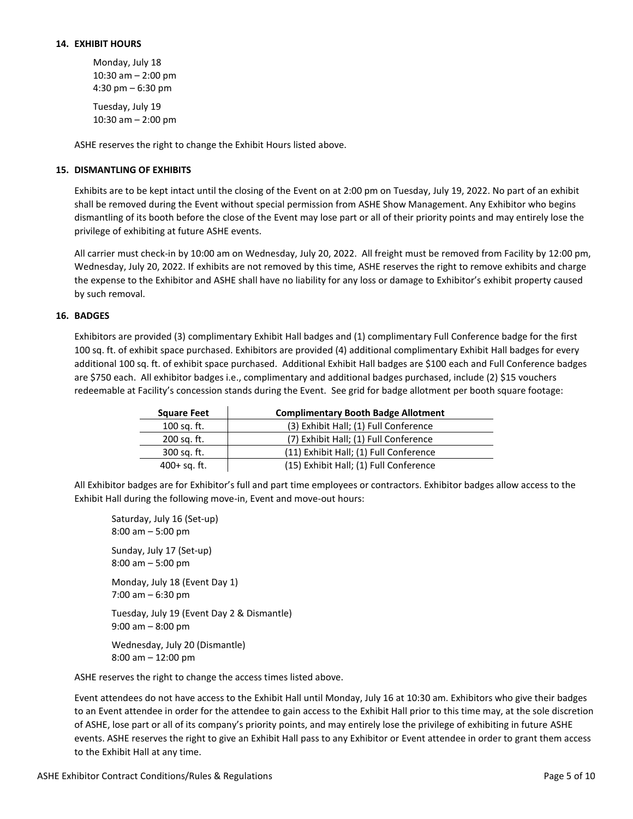Monday, July 18 10:30 am – 2:00 pm 4:30 pm – 6:30 pm

Tuesday, July 19 10:30 am – 2:00 pm

ASHE reserves the right to change the Exhibit Hours listed above.

# **15. DISMANTLING OF EXHIBITS**

Exhibits are to be kept intact until the closing of the Event on at 2:00 pm on Tuesday, July 19, 2022. No part of an exhibit shall be removed during the Event without special permission from ASHE Show Management. Any Exhibitor who begins dismantling of its booth before the close of the Event may lose part or all of their priority points and may entirely lose the privilege of exhibiting at future ASHE events.

All carrier must check-in by 10:00 am on Wednesday, July 20, 2022. All freight must be removed from Facility by 12:00 pm, Wednesday, July 20, 2022. If exhibits are not removed by this time, ASHE reserves the right to remove exhibits and charge the expense to the Exhibitor and ASHE shall have no liability for any loss or damage to Exhibitor's exhibit property caused by such removal.

# **16. BADGES**

Exhibitors are provided (3) complimentary Exhibit Hall badges and (1) complimentary Full Conference badge for the first 100 sq. ft. of exhibit space purchased. Exhibitors are provided (4) additional complimentary Exhibit Hall badges for every additional 100 sq. ft. of exhibit space purchased. Additional Exhibit Hall badges are \$100 each and Full Conference badges are \$750 each. All exhibitor badges i.e., complimentary and additional badges purchased, include (2) \$15 vouchers redeemable at Facility's concession stands during the Event. See grid for badge allotment per booth square footage:

| <b>Square Feet</b> | <b>Complimentary Booth Badge Allotment</b> |
|--------------------|--------------------------------------------|
| 100 sq. ft.        | (3) Exhibit Hall; (1) Full Conference      |
| 200 sq. ft.        | (7) Exhibit Hall; (1) Full Conference      |
| 300 sq. ft.        | (11) Exhibit Hall; (1) Full Conference     |
| $400+$ sq. ft.     | (15) Exhibit Hall; (1) Full Conference     |

All Exhibitor badges are for Exhibitor's full and part time employees or contractors. Exhibitor badges allow access to the Exhibit Hall during the following move-in, Event and move-out hours:

Saturday, July 16 (Set-up) 8:00 am – 5:00 pm Sunday, July 17 (Set-up) 8:00 am – 5:00 pm Monday, July 18 (Event Day 1) 7:00 am – 6:30 pm Tuesday, July 19 (Event Day 2 & Dismantle) 9:00 am – 8:00 pm Wednesday, July 20 (Dismantle) 8:00 am – 12:00 pm ASHE reserves the right to change the access times listed above.

Event attendees do not have access to the Exhibit Hall until Monday, July 16 at 10:30 am. Exhibitors who give their badges to an Event attendee in order for the attendee to gain access to the Exhibit Hall prior to this time may, at the sole discretion of ASHE, lose part or all of its company's priority points, and may entirely lose the privilege of exhibiting in future ASHE events. ASHE reserves the right to give an Exhibit Hall pass to any Exhibitor or Event attendee in order to grant them access to the Exhibit Hall at any time.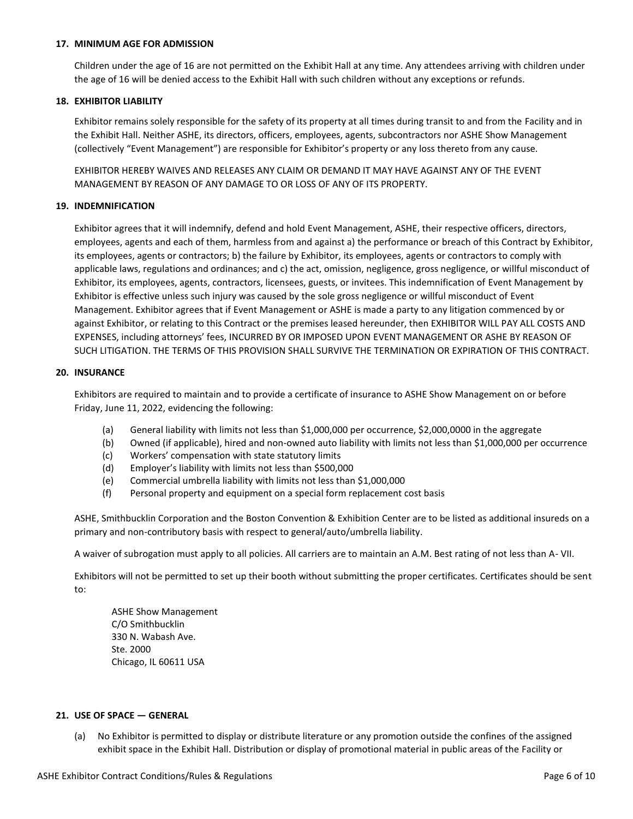#### **17. MINIMUM AGE FOR ADMISSION**

Children under the age of 16 are not permitted on the Exhibit Hall at any time. Any attendees arriving with children under the age of 16 will be denied access to the Exhibit Hall with such children without any exceptions or refunds.

### **18. EXHIBITOR LIABILITY**

Exhibitor remains solely responsible for the safety of its property at all times during transit to and from the Facility and in the Exhibit Hall. Neither ASHE, its directors, officers, employees, agents, subcontractors nor ASHE Show Management (collectively "Event Management") are responsible for Exhibitor's property or any loss thereto from any cause.

EXHIBITOR HEREBY WAIVES AND RELEASES ANY CLAIM OR DEMAND IT MAY HAVE AGAINST ANY OF THE EVENT MANAGEMENT BY REASON OF ANY DAMAGE TO OR LOSS OF ANY OF ITS PROPERTY.

# **19. INDEMNIFICATION**

Exhibitor agrees that it will indemnify, defend and hold Event Management, ASHE, their respective officers, directors, employees, agents and each of them, harmless from and against a) the performance or breach of this Contract by Exhibitor, its employees, agents or contractors; b) the failure by Exhibitor, its employees, agents or contractors to comply with applicable laws, regulations and ordinances; and c) the act, omission, negligence, gross negligence, or willful misconduct of Exhibitor, its employees, agents, contractors, licensees, guests, or invitees. This indemnification of Event Management by Exhibitor is effective unless such injury was caused by the sole gross negligence or willful misconduct of Event Management. Exhibitor agrees that if Event Management or ASHE is made a party to any litigation commenced by or against Exhibitor, or relating to this Contract or the premises leased hereunder, then EXHIBITOR WILL PAY ALL COSTS AND EXPENSES, including attorneys' fees, INCURRED BY OR IMPOSED UPON EVENT MANAGEMENT OR ASHE BY REASON OF SUCH LITIGATION. THE TERMS OF THIS PROVISION SHALL SURVIVE THE TERMINATION OR EXPIRATION OF THIS CONTRACT.

### **20. INSURANCE**

Exhibitors are required to maintain and to provide a certificate of insurance to ASHE Show Management on or before Friday, June 11, 2022, evidencing the following:

- (a) General liability with limits not less than \$1,000,000 per occurrence, \$2,000,0000 in the aggregate
- (b) Owned (if applicable), hired and non-owned auto liability with limits not less than \$1,000,000 per occurrence
- (c) Workers' compensation with state statutory limits
- (d) Employer's liability with limits not less than \$500,000
- (e) Commercial umbrella liability with limits not less than \$1,000,000
- (f) Personal property and equipment on a special form replacement cost basis

ASHE, Smithbucklin Corporation and the Boston Convention & Exhibition Center are to be listed as additional insureds on a primary and non-contributory basis with respect to general/auto/umbrella liability.

A waiver of subrogation must apply to all policies. All carriers are to maintain an A.M. Best rating of not less than A- VII.

Exhibitors will not be permitted to set up their booth without submitting the proper certificates. Certificates should be sent to:

ASHE Show Management C/O Smithbucklin 330 N. Wabash Ave. Ste. 2000 Chicago, IL 60611 USA

### **21. USE OF SPACE — GENERAL**

(a) No Exhibitor is permitted to display or distribute literature or any promotion outside the confines of the assigned exhibit space in the Exhibit Hall. Distribution or display of promotional material in public areas of the Facility or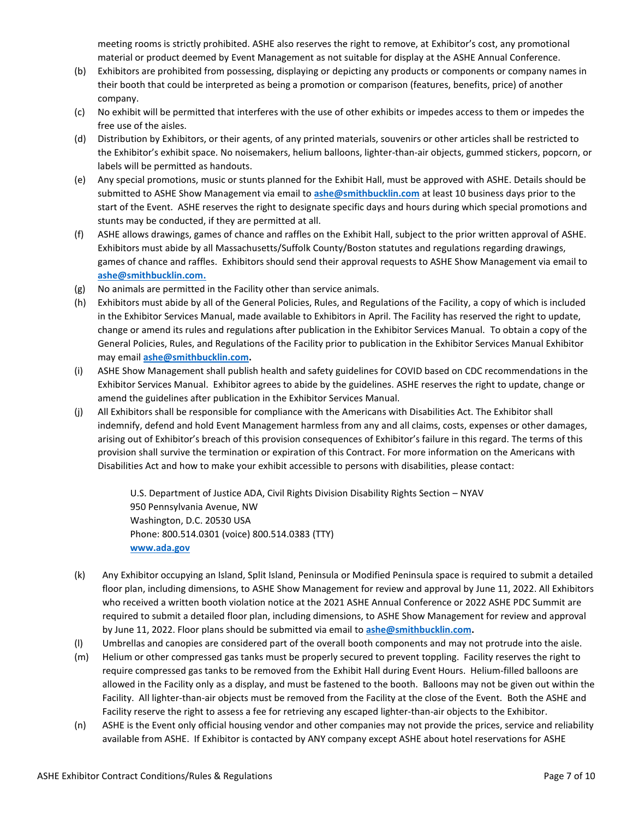meeting rooms is strictly prohibited. ASHE also reserves the right to remove, at Exhibitor's cost, any promotional material or product deemed by Event Management as not suitable for display at the ASHE Annual Conference.

- (b) Exhibitors are prohibited from possessing, displaying or depicting any products or components or company names in their booth that could be interpreted as being a promotion or comparison (features, benefits, price) of another company.
- (c) No exhibit will be permitted that interferes with the use of other exhibits or impedes access to them or impedes the free use of the aisles.
- (d) Distribution by Exhibitors, or their agents, of any printed materials, souvenirs or other articles shall be restricted to the Exhibitor's exhibit space. No noisemakers, helium balloons, lighter-than-air objects, gummed stickers, popcorn, or labels will be permitted as handouts.
- (e) Any special promotions, music or stunts planned for the Exhibit Hall, must be approved with ASHE. Details should be submitted to ASHE Show Management via email to **[ashe@smithbucklin.com](mailto:ashe@smithbucklin.com)** at least 10 business days prior to the start of the Event. ASHE reserves the right to designate specific days and hours during which special promotions and stunts may be conducted, if they are permitted at all.
- (f) ASHE allows drawings, games of chance and raffles on the Exhibit Hall, subject to the prior written approval of ASHE. Exhibitors must abide by all Massachusetts/Suffolk County/Boston statutes and regulations regarding drawings, games of chance and raffles. Exhibitors should send their approval requests to ASHE Show Management via email to **[ashe@smithbucklin.com.](mailto:ashe@smithbucklin.com)**
- (g) No animals are permitted in the Facility other than service animals.
- (h) Exhibitors must abide by all of the General Policies, Rules, and Regulations of the Facility, a copy of which is included in the Exhibitor Services Manual, made available to Exhibitors in April. The Facility has reserved the right to update, change or amend its rules and regulations after publication in the Exhibitor Services Manual. To obtain a copy of the General Policies, Rules, and Regulations of the Facility prior to publication in the Exhibitor Services Manual Exhibitor may email **[ashe@smithbucklin.com.](mailto:ashe@smithbucklin.com)**
- (i) ASHE Show Management shall publish health and safety guidelines for COVID based on CDC recommendations in the Exhibitor Services Manual. Exhibitor agrees to abide by the guidelines. ASHE reserves the right to update, change or amend the guidelines after publication in the Exhibitor Services Manual.
- (j) All Exhibitors shall be responsible for compliance with the Americans with Disabilities Act. The Exhibitor shall indemnify, defend and hold Event Management harmless from any and all claims, costs, expenses or other damages, arising out of Exhibitor's breach of this provision consequences of Exhibitor's failure in this regard. The terms of this provision shall survive the termination or expiration of this Contract. For more information on the Americans with Disabilities Act and how to make your exhibit accessible to persons with disabilities, please contact:

U.S. Department of Justice ADA, Civil Rights Division Disability Rights Section – NYAV 950 Pennsylvania Avenue, NW Washington, D.C. 20530 USA Phone: 800.514.0301 (voice) 800.514.0383 (TTY) **[www.ada.gov](http://www.ada.gov/)**

- (k) Any Exhibitor occupying an Island, Split Island, Peninsula or Modified Peninsula space is required to submit a detailed floor plan, including dimensions, to ASHE Show Management for review and approval by June 11, 2022. All Exhibitors who received a written booth violation notice at the 2021 ASHE Annual Conference or 2022 ASHE PDC Summit are required to submit a detailed floor plan, including dimensions, to ASHE Show Management for review and approval by June 11, 2022. Floor plans should be submitted via email to **[ashe@smithbucklin.com.](mailto:ashe@smithbucklin.com)**
- (l) Umbrellas and canopies are considered part of the overall booth components and may not protrude into the aisle.
- (m) Helium or other compressed gas tanks must be properly secured to prevent toppling. Facility reserves the right to require compressed gas tanks to be removed from the Exhibit Hall during Event Hours. Helium-filled balloons are allowed in the Facility only as a display, and must be fastened to the booth. Balloons may not be given out within the Facility. All lighter-than-air objects must be removed from the Facility at the close of the Event. Both the ASHE and Facility reserve the right to assess a fee for retrieving any escaped lighter-than-air objects to the Exhibitor.
- (n) ASHE is the Event only official housing vendor and other companies may not provide the prices, service and reliability available from ASHE. If Exhibitor is contacted by ANY company except ASHE about hotel reservations for ASHE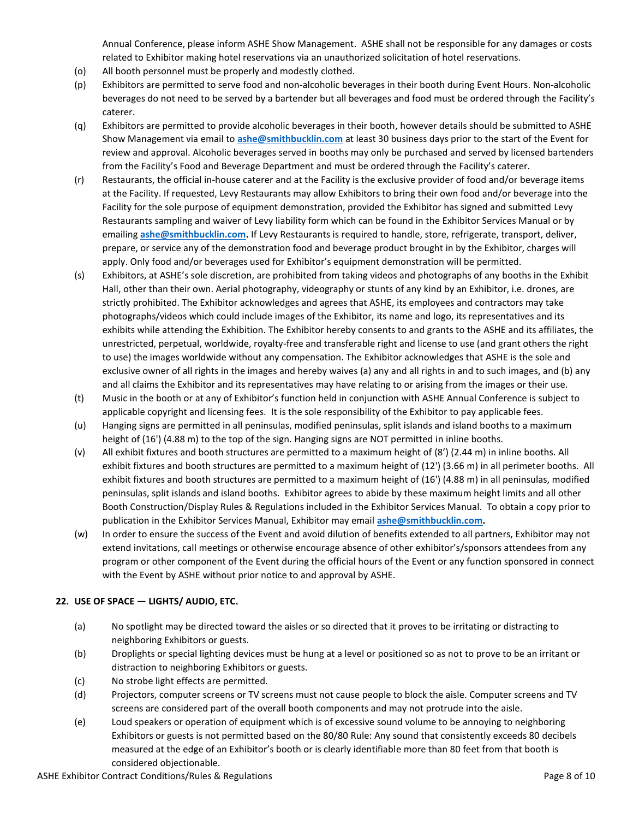Annual Conference, please inform ASHE Show Management. ASHE shall not be responsible for any damages or costs related to Exhibitor making hotel reservations via an unauthorized solicitation of hotel reservations.

- (o) All booth personnel must be properly and modestly clothed.
- (p) Exhibitors are permitted to serve food and non-alcoholic beverages in their booth during Event Hours. Non-alcoholic beverages do not need to be served by a bartender but all beverages and food must be ordered through the Facility's caterer.
- (q) Exhibitors are permitted to provide alcoholic beverages in their booth, however details should be submitted to ASHE Show Management via email to **[ashe@smithbucklin.com](mailto:ashe@smithbucklin.com)** at least 30 business days prior to the start of the Event for review and approval. Alcoholic beverages served in booths may only be purchased and served by licensed bartenders from the Facility's Food and Beverage Department and must be ordered through the Facility's caterer.
- (r) Restaurants, the official in-house caterer and at the Facility is the exclusive provider of food and/or beverage items at the Facility. If requested, Levy Restaurants may allow Exhibitors to bring their own food and/or beverage into the Facility for the sole purpose of equipment demonstration, provided the Exhibitor has signed and submitted Levy Restaurants sampling and waiver of Levy liability form which can be found in the Exhibitor Services Manual or by emailing **[ashe@smithbucklin.com.](mailto:ashe@smithbucklin.com)** If Levy Restaurants is required to handle, store, refrigerate, transport, deliver, prepare, or service any of the demonstration food and beverage product brought in by the Exhibitor, charges will apply. Only food and/or beverages used for Exhibitor's equipment demonstration will be permitted.
- (s) Exhibitors, at ASHE's sole discretion, are prohibited from taking videos and photographs of any booths in the Exhibit Hall, other than their own. Aerial photography, videography or stunts of any kind by an Exhibitor, i.e. drones, are strictly prohibited. The Exhibitor acknowledges and agrees that ASHE, its employees and contractors may take photographs/videos which could include images of the Exhibitor, its name and logo, its representatives and its exhibits while attending the Exhibition. The Exhibitor hereby consents to and grants to the ASHE and its affiliates, the unrestricted, perpetual, worldwide, royalty-free and transferable right and license to use (and grant others the right to use) the images worldwide without any compensation. The Exhibitor acknowledges that ASHE is the sole and exclusive owner of all rights in the images and hereby waives (a) any and all rights in and to such images, and (b) any and all claims the Exhibitor and its representatives may have relating to or arising from the images or their use.
- (t) Music in the booth or at any of Exhibitor's function held in conjunction with ASHE Annual Conference is subject to applicable copyright and licensing fees. It is the sole responsibility of the Exhibitor to pay applicable fees.
- (u) Hanging signs are permitted in all peninsulas, modified peninsulas, split islands and island booths to a maximum height of (16') (4.88 m) to the top of the sign. Hanging signs are NOT permitted in inline booths.
- (v) All exhibit fixtures and booth structures are permitted to a maximum height of (8') (2.44 m) in inline booths. All exhibit fixtures and booth structures are permitted to a maximum height of (12') (3.66 m) in all perimeter booths. All exhibit fixtures and booth structures are permitted to a maximum height of (16') (4.88 m) in all peninsulas, modified peninsulas, split islands and island booths. Exhibitor agrees to abide by these maximum height limits and all other Booth Construction/Display Rules & Regulations included in the Exhibitor Services Manual. To obtain a copy prior to publication in the Exhibitor Services Manual, Exhibitor may email **[ashe@smithbucklin.com.](mailto:ashe@smithbucklin.com)**
- (w) In order to ensure the success of the Event and avoid dilution of benefits extended to all partners, Exhibitor may not extend invitations, call meetings or otherwise encourage absence of other exhibitor's/sponsors attendees from any program or other component of the Event during the official hours of the Event or any function sponsored in connect with the Event by ASHE without prior notice to and approval by ASHE.

# **22. USE OF SPACE — LIGHTS/ AUDIO, ETC.**

- (a) No spotlight may be directed toward the aisles or so directed that it proves to be irritating or distracting to neighboring Exhibitors or guests.
- (b) Droplights or special lighting devices must be hung at a level or positioned so as not to prove to be an irritant or distraction to neighboring Exhibitors or guests.
- (c) No strobe light effects are permitted.
- (d) Projectors, computer screens or TV screens must not cause people to block the aisle. Computer screens and TV screens are considered part of the overall booth components and may not protrude into the aisle.
- (e) Loud speakers or operation of equipment which is of excessive sound volume to be annoying to neighboring Exhibitors or guests is not permitted based on the 80/80 Rule: Any sound that consistently exceeds 80 decibels measured at the edge of an Exhibitor's booth or is clearly identifiable more than 80 feet from that booth is considered objectionable.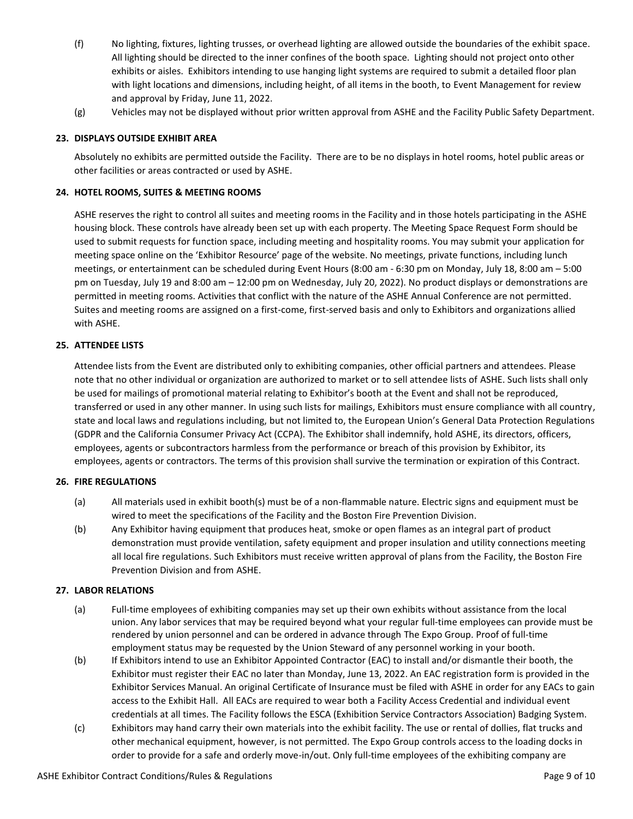- (f) No lighting, fixtures, lighting trusses, or overhead lighting are allowed outside the boundaries of the exhibit space. All lighting should be directed to the inner confines of the booth space. Lighting should not project onto other exhibits or aisles. Exhibitors intending to use hanging light systems are required to submit a detailed floor plan with light locations and dimensions, including height, of all items in the booth, to Event Management for review and approval by Friday, June 11, 2022.
- (g) Vehicles may not be displayed without prior written approval from ASHE and the Facility Public Safety Department.

# **23. DISPLAYS OUTSIDE EXHIBIT AREA**

Absolutely no exhibits are permitted outside the Facility. There are to be no displays in hotel rooms, hotel public areas or other facilities or areas contracted or used by ASHE.

### **24. HOTEL ROOMS, SUITES & MEETING ROOMS**

ASHE reserves the right to control all suites and meeting rooms in the Facility and in those hotels participating in the ASHE housing block. These controls have already been set up with each property. The Meeting Space Request Form should be used to submit requests for function space, including meeting and hospitality rooms. You may submit your application for meeting space online on the 'Exhibitor Resource' page of the website. No meetings, private functions, including lunch meetings, or entertainment can be scheduled during Event Hours (8:00 am - 6:30 pm on Monday, July 18, 8:00 am – 5:00 pm on Tuesday, July 19 and 8:00 am – 12:00 pm on Wednesday, July 20, 2022). No product displays or demonstrations are permitted in meeting rooms. Activities that conflict with the nature of the ASHE Annual Conference are not permitted. Suites and meeting rooms are assigned on a first-come, first-served basis and only to Exhibitors and organizations allied with ASHE.

### **25. ATTENDEE LISTS**

Attendee lists from the Event are distributed only to exhibiting companies, other official partners and attendees. Please note that no other individual or organization are authorized to market or to sell attendee lists of ASHE. Such lists shall only be used for mailings of promotional material relating to Exhibitor's booth at the Event and shall not be reproduced, transferred or used in any other manner. In using such lists for mailings, Exhibitors must ensure compliance with all country, state and local laws and regulations including, but not limited to, the European Union's General Data Protection Regulations (GDPR and the California Consumer Privacy Act (CCPA). The Exhibitor shall indemnify, hold ASHE, its directors, officers, employees, agents or subcontractors harmless from the performance or breach of this provision by Exhibitor, its employees, agents or contractors. The terms of this provision shall survive the termination or expiration of this Contract.

# **26. FIRE REGULATIONS**

- (a) All materials used in exhibit booth(s) must be of a non-flammable nature. Electric signs and equipment must be wired to meet the specifications of the Facility and the Boston Fire Prevention Division.
- (b) Any Exhibitor having equipment that produces heat, smoke or open flames as an integral part of product demonstration must provide ventilation, safety equipment and proper insulation and utility connections meeting all local fire regulations. Such Exhibitors must receive written approval of plans from the Facility, the Boston Fire Prevention Division and from ASHE.

#### **27. LABOR RELATIONS**

- (a) Full-time employees of exhibiting companies may set up their own exhibits without assistance from the local union. Any labor services that may be required beyond what your regular full-time employees can provide must be rendered by union personnel and can be ordered in advance through The Expo Group. Proof of full-time employment status may be requested by the Union Steward of any personnel working in your booth.
- (b) If Exhibitors intend to use an Exhibitor Appointed Contractor (EAC) to install and/or dismantle their booth, the Exhibitor must register their EAC no later than Monday, June 13, 2022. An EAC registration form is provided in the Exhibitor Services Manual. An original Certificate of Insurance must be filed with ASHE in order for any EACs to gain access to the Exhibit Hall. All EACs are required to wear both a Facility Access Credential and individual event credentials at all times. The Facility follows the ESCA (Exhibition Service Contractors Association) Badging System.
- (c) Exhibitors may hand carry their own materials into the exhibit facility. The use or rental of dollies, flat trucks and other mechanical equipment, however, is not permitted. The Expo Group controls access to the loading docks in order to provide for a safe and orderly move-in/out. Only full-time employees of the exhibiting company are